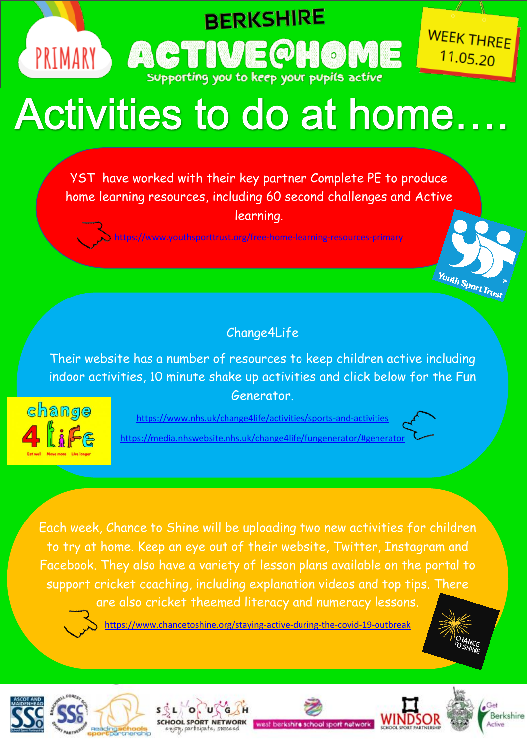

**BERKSHIRE** 

Supporting you to keep your pupils active

**TIMARY, ACTIVE QHOME** 

YST have worked with their key partner Complete PE to produce home learning resources, including 60 second challenges and Active learning.

www.youthsporttrust.org/free-home-learning-resources-primary



Their website has a number of resources to keep children active including indoor activities, 10 minute shake up activities and click below for the Fun Generator.



<https://www.nhs.uk/change4life/activities/sports-and-activities> <https://media.nhswebsite.nhs.uk/change4life/fungenerator/#generator>



**WEEK THREE** 

 $11.05.20$ 

**Youth Sport Trust** 

Each week, Chance to Shine will be uploading two new activities for children to try at home. Keep an eye out of their website, Twitter, Instagram and Facebook. They also have a variety of lesson plans available on the portal to support cricket coaching, including explanation videos and top tips. There are also cricket theemed literacy and numeracy lessons.



<https://www.chancetoshine.org/staying-active-during-the-covid-19-outbreak>











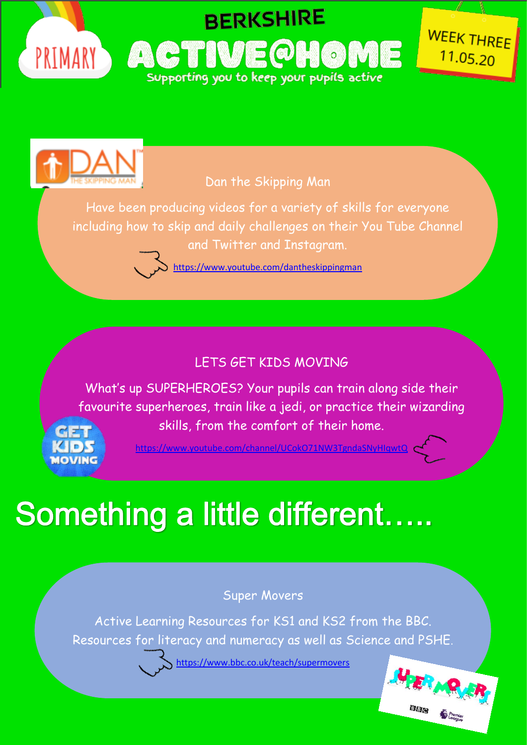



Dan the Skipping Man

Have been producing videos for a variety of skills for everyone including how to skip and daily challenges on their You Tube Channel and Twitter and Instagram.

<https://www.youtube.com/dantheskippingman>

### LETS GET KIDS MOVING

What's up SUPERHEROES? Your pupils can train along side their favourite superheroes, train like a jedi, or practice their wizarding skills, from the comfort of their home.



<https://www.youtube.com/channel/UCokO71NW3TgndaSNyHIqwtQ>

# Something a little different.....

#### Super Movers

Active Learning Resources for KS1 and KS2 from the BBC. Resources for literacy and numeracy as well as Science and PSHE.

<https://www.bbc.co.uk/teach/supermovers>